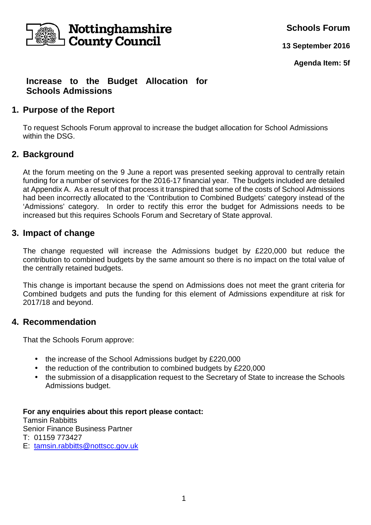

**Schools Forum**

**13 September 2016**

**Agenda Item: 5f**

# **Increase to the Budget Allocation for Schools Admissions**

# **1. Purpose of the Report**

To request Schools Forum approval to increase the budget allocation for School Admissions within the DSG.

# **2. Background**

At the forum meeting on the 9 June a report was presented seeking approval to centrally retain funding for a number of services for the 2016-17 financial year. The budgets included are detailed at Appendix A. As a result of that process it transpired that some of the costs of School Admissions had been incorrectly allocated to the 'Contribution to Combined Budgets' category instead of the 'Admissions' category. In order to rectify this error the budget for Admissions needs to be increased but this requires Schools Forum and Secretary of State approval.

### **3. Impact of change**

The change requested will increase the Admissions budget by £220,000 but reduce the contribution to combined budgets by the same amount so there is no impact on the total value of the centrally retained budgets.

This change is important because the spend on Admissions does not meet the grant criteria for Combined budgets and puts the funding for this element of Admissions expenditure at risk for 2017/18 and beyond.

## **4. Recommendation**

That the Schools Forum approve:

- the increase of the School Admissions budget by £220,000
- the reduction of the contribution to combined budgets by £220,000
- the submission of a disapplication request to the Secretary of State to increase the Schools Admissions budget.

#### **For any enquiries about this report please contact:**

Tamsin Rabbitts Senior Finance Business Partner T: 01159 773427

E: tamsin.rabbitts@nottscc.gov.uk